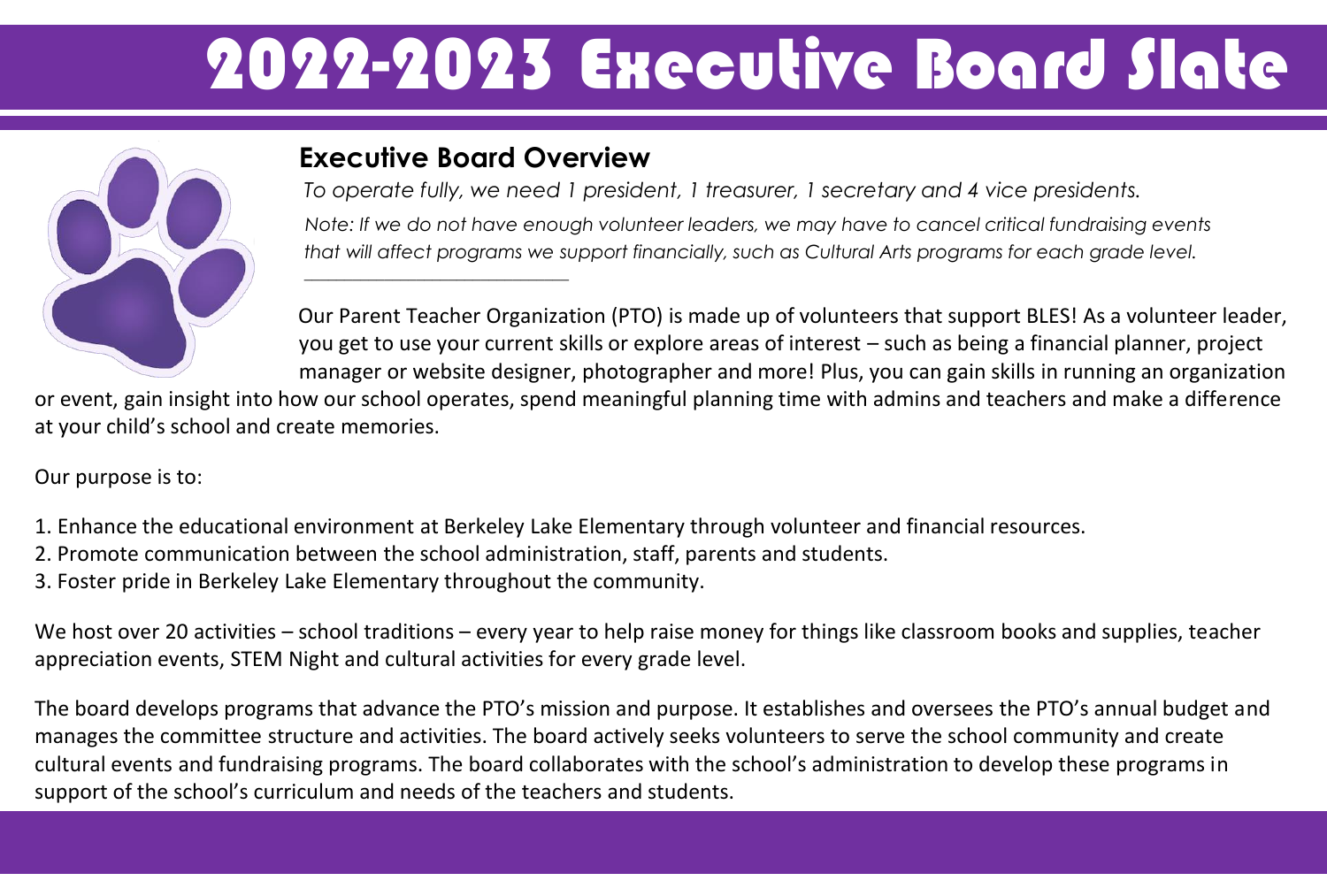# 2022-2023 Executive Board Slate



#### **Executive Board Overview**

 $\overline{\phantom{a}}$  , and the set of the set of the set of the set of the set of the set of the set of the set of the set of the set of the set of the set of the set of the set of the set of the set of the set of the set of the s

*To operate fully, we need 1 president, 1 treasurer, 1 secretary and 4 vice presidents. Note: If we do not have enough volunteer leaders, we may have to cancel critical fundraising events that will affect programs we support financially, such as Cultural Arts programs for each grade level.* 

Our Parent Teacher Organization (PTO) is made up of volunteers that support BLES! As a volunteer leader, you get to use your current skills or explore areas of interest – such as being a financial planner, project manager or website designer, photographer and more! Plus, you can gain skills in running an organization

or event, gain insight into how our school operates, spend meaningful planning time with admins and teachers and make a difference at your child's school and create memories.

Our purpose is to:

- 1. Enhance the educational environment at Berkeley Lake Elementary through volunteer and financial resources.
- 2. Promote communication between the school administration, staff, parents and students.
- 3. Foster pride in Berkeley Lake Elementary throughout the community.

We host over 20 activities – school traditions – every year to help raise money for things like classroom books and supplies, teacher appreciation events, STEM Night and cultural activities for every grade level.

The board develops programs that advance the PTO's mission and purpose. It establishes and oversees the PTO's annual budget and manages the committee structure and activities. The board actively seeks volunteers to serve the school community and create cultural events and fundraising programs. The board collaborates with the school's administration to develop these programs in support of the school's curriculum and needs of the teachers and students.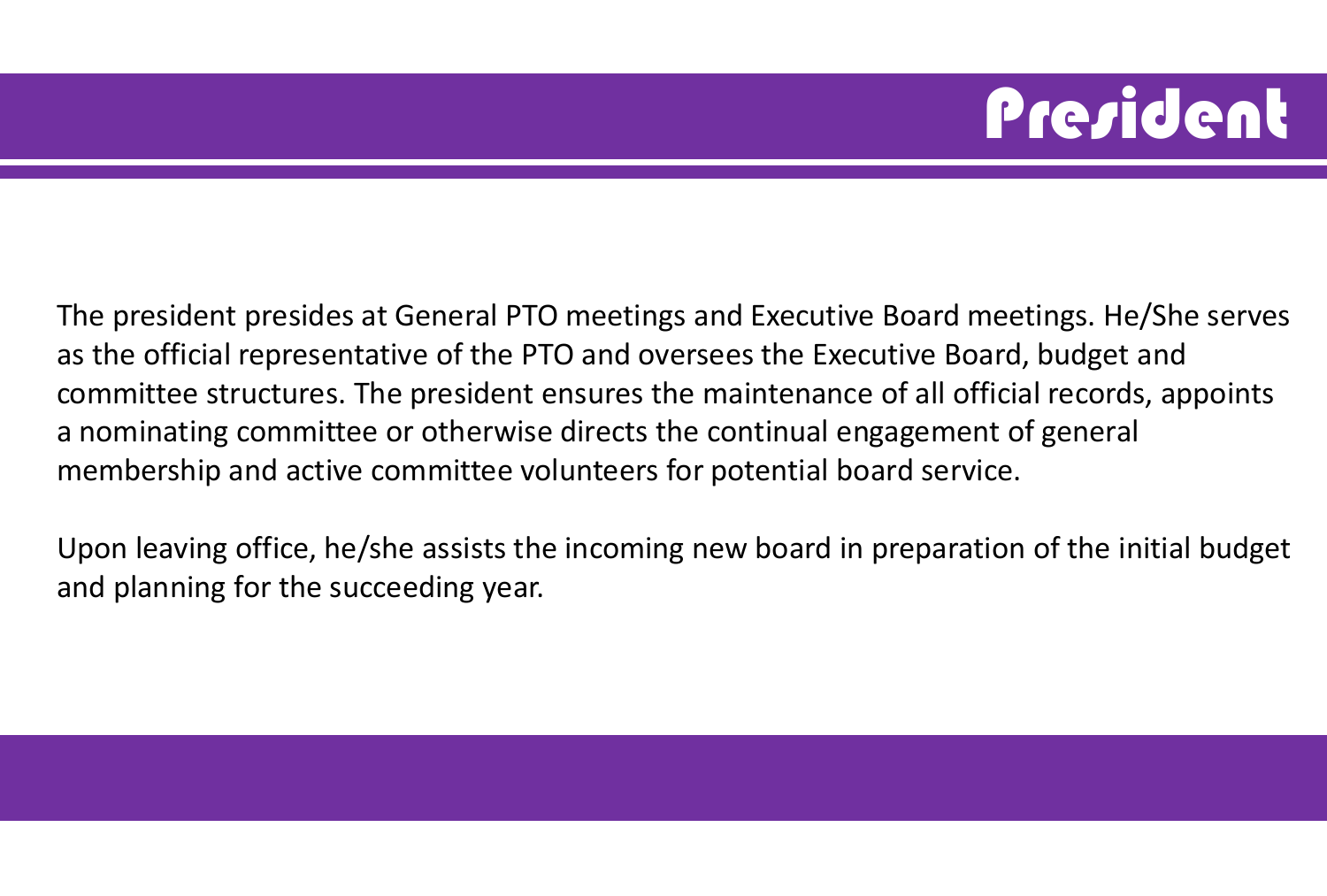### **President**

The president presides at General PTO meetings and Executive Board meetings. He/She serves as the official representative of the PTO and oversees the Executive Board, budget and committee structures. The president ensures the maintenance of all official records, appoints a nominating committee or otherwise directs the continual engagement of general membership and active committee volunteers for potential board service.

Upon leaving office, he/she assists the incoming new board in preparation of the initial budget and planning for the succeeding year.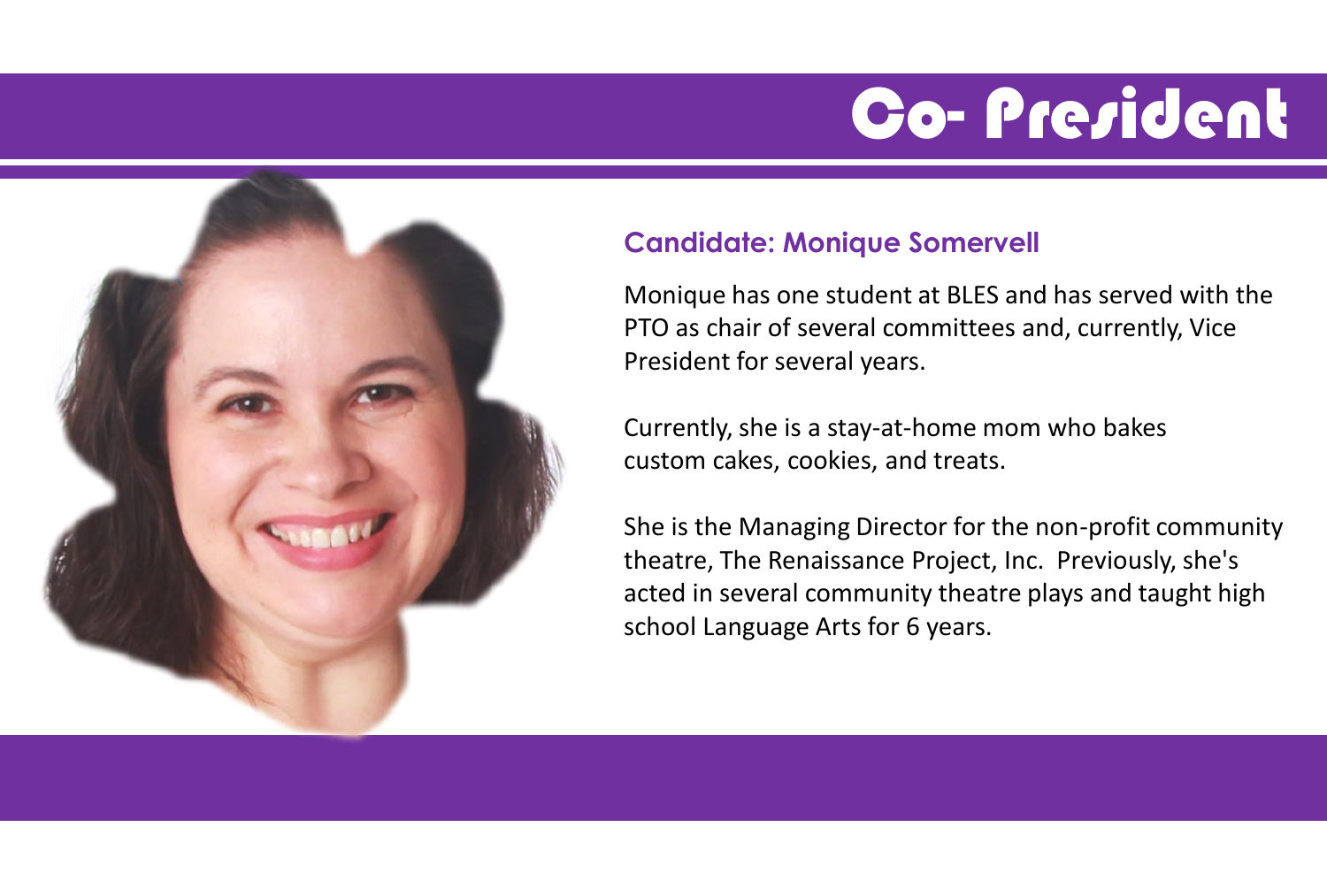### Co- President



#### **Candidate: Monique Somervell**

Monique has one student at BLES and has served with the PTO as chair of several committees and, currently, Vice President for several years.

Currently, she is a stay-at-home mom who bakes custom cakes, cookies, and treats.

She is the Managing Director for the non-profit community theatre, The Renaissance Project, Inc. Previously, she's acted in several community theatre plays and taught high school Language Arts for 6 years.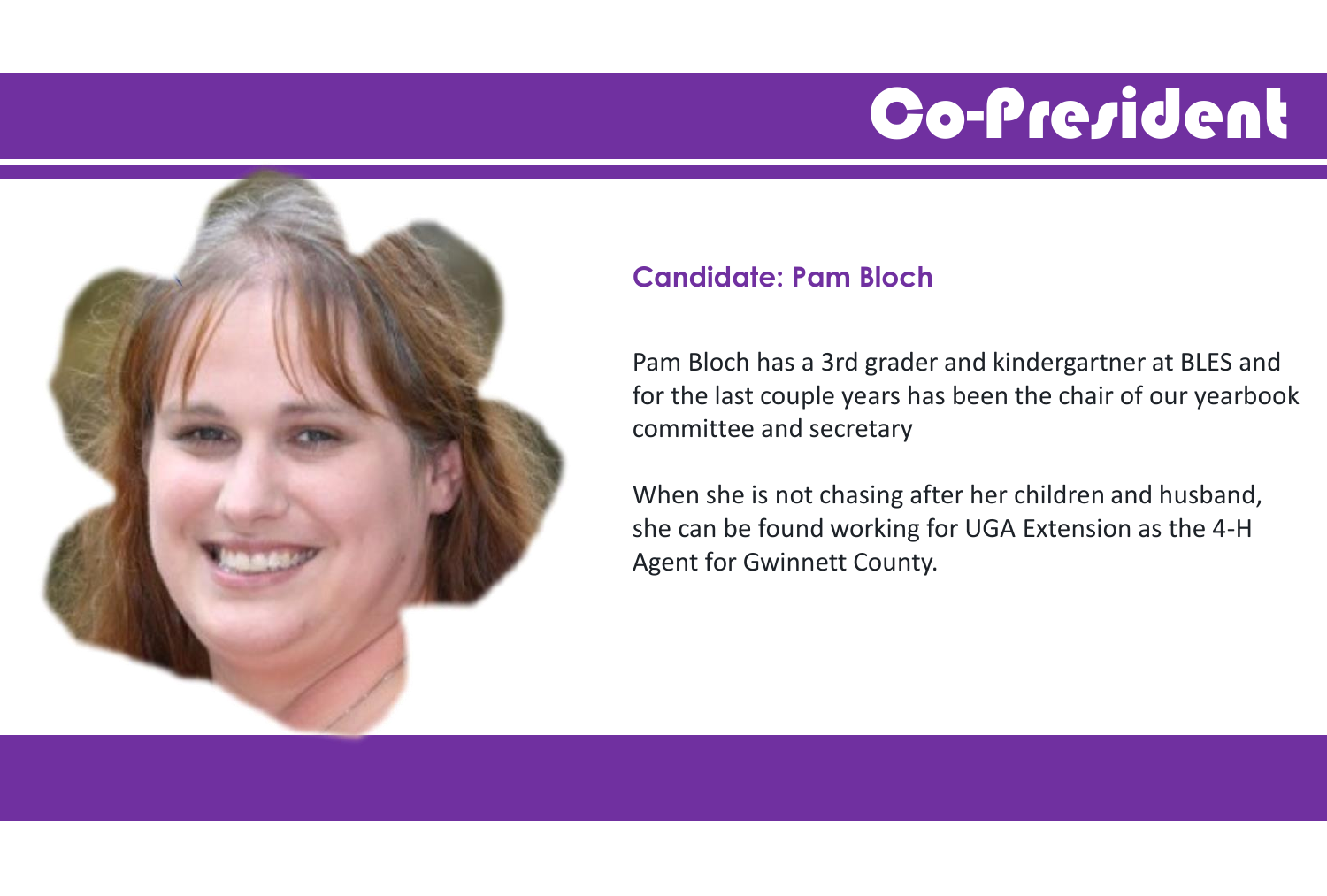### Co-President



#### **Candidate: Pam Bloch**

Pam Bloch has a 3rd grader and kindergartner at BLES and for the last couple years has been the chair of our yearbook committee and secretary

When she is not chasing after her children and husband, she can be found working for UGA Extension as the 4-H Agent for Gwinnett County.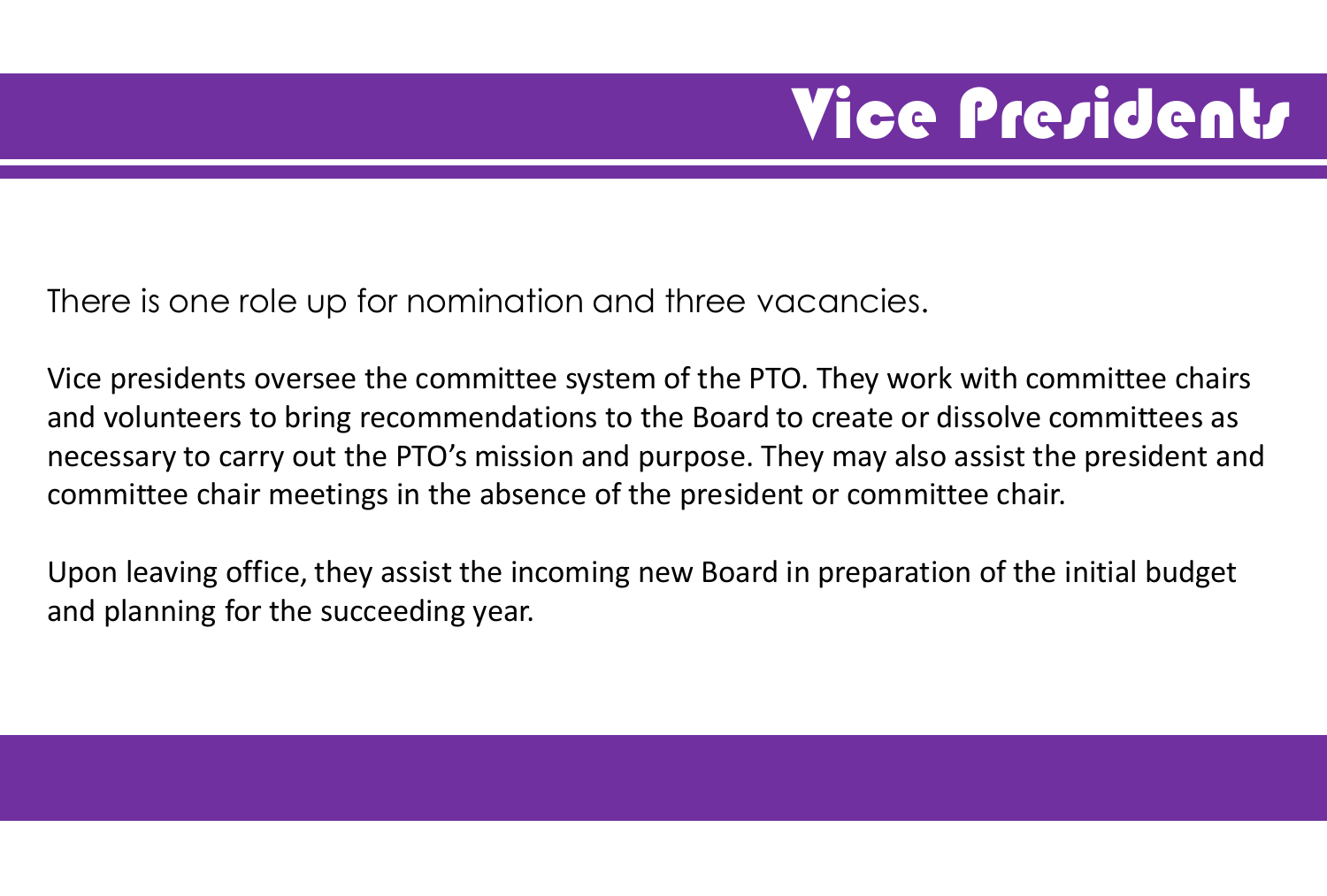### **Vice Presidents**

There is one role up for nomination and three vacancies.

Vice presidents oversee the committee system of the PTO. They work with committee chairs and volunteers to bring recommendations to the Board to create or dissolve committees as necessary to carry out the PTO's mission and purpose. They may also assist the president and committee chair meetings in the absence of the president or committee chair.

Upon leaving office, they assist the incoming new Board in preparation of the initial budget and planning for the succeeding year.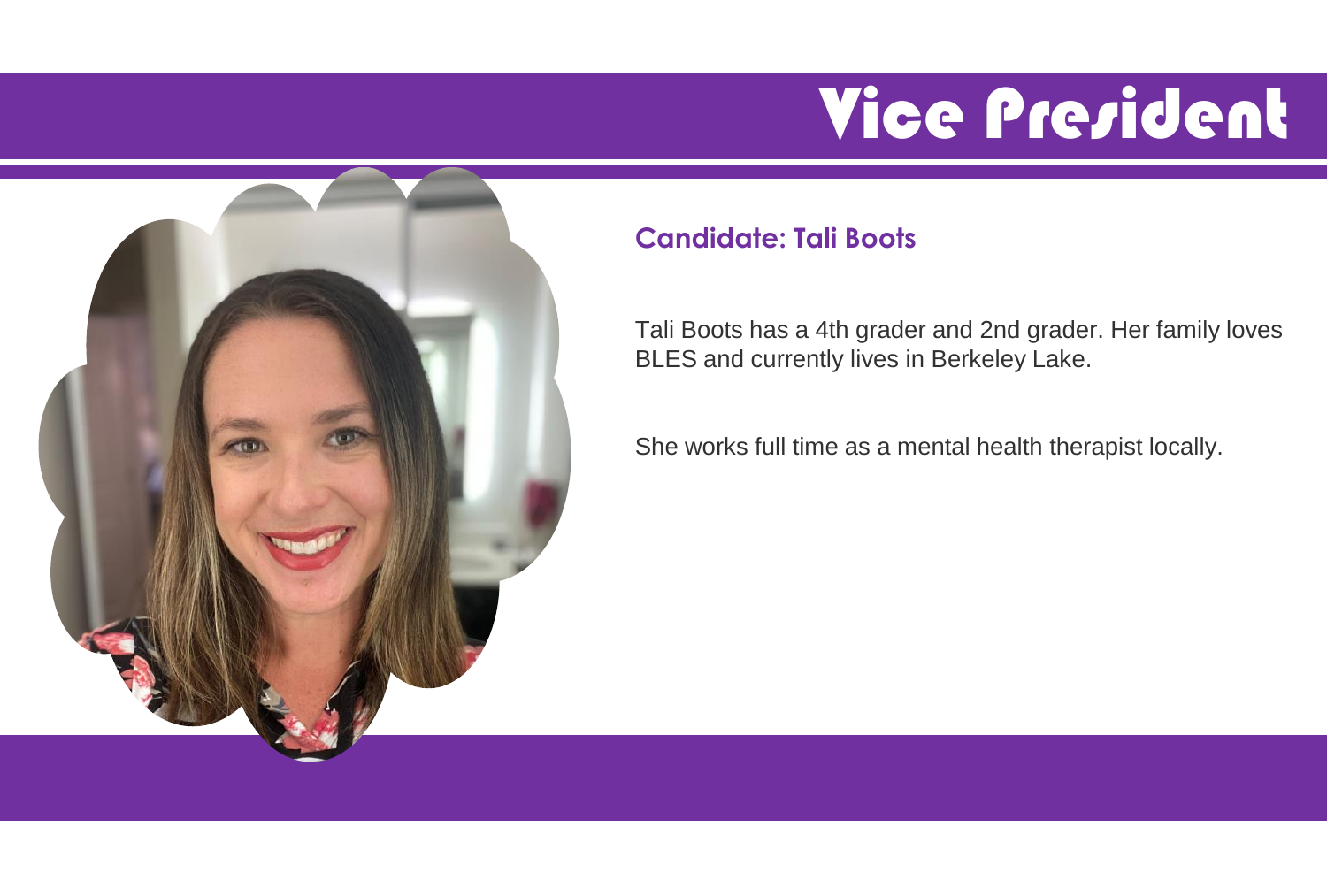### Vice President



#### **Candidate: Tali Boots**

Tali Boots has a 4th grader and 2nd grader. Her family loves BLES and currently lives in Berkeley Lake.

She works full time as a mental health therapist locally.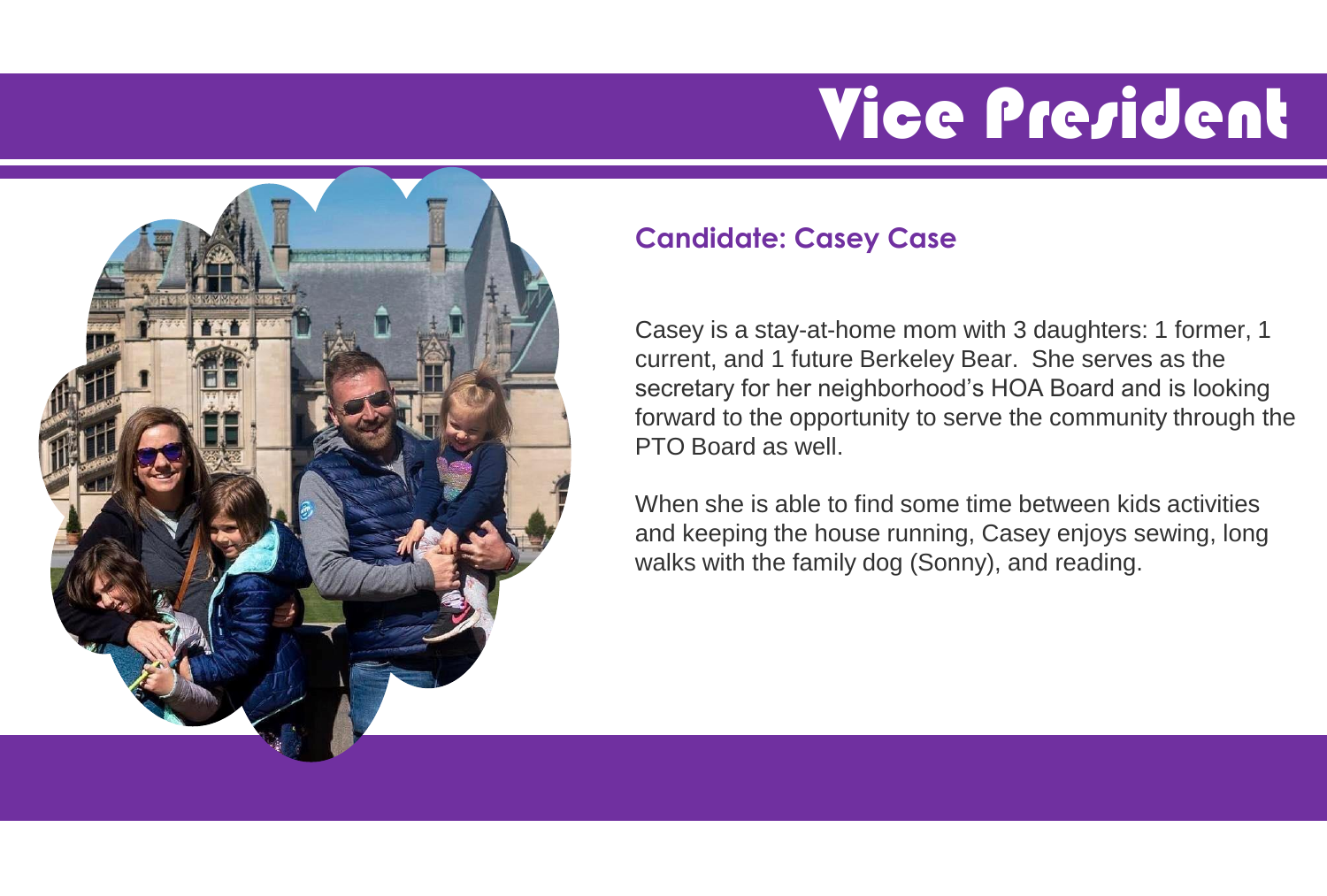# Vice President



#### **Candidate: Casey Case**

Casey is a stay-at-home mom with 3 daughters: 1 former, 1 current, and 1 future Berkeley Bear. She serves as the secretary for her neighborhood's HOA Board and is looking forward to the opportunity to serve the community through the PTO Board as well.

When she is able to find some time between kids activities and keeping the house running, Casey enjoys sewing, long walks with the family dog (Sonny), and reading.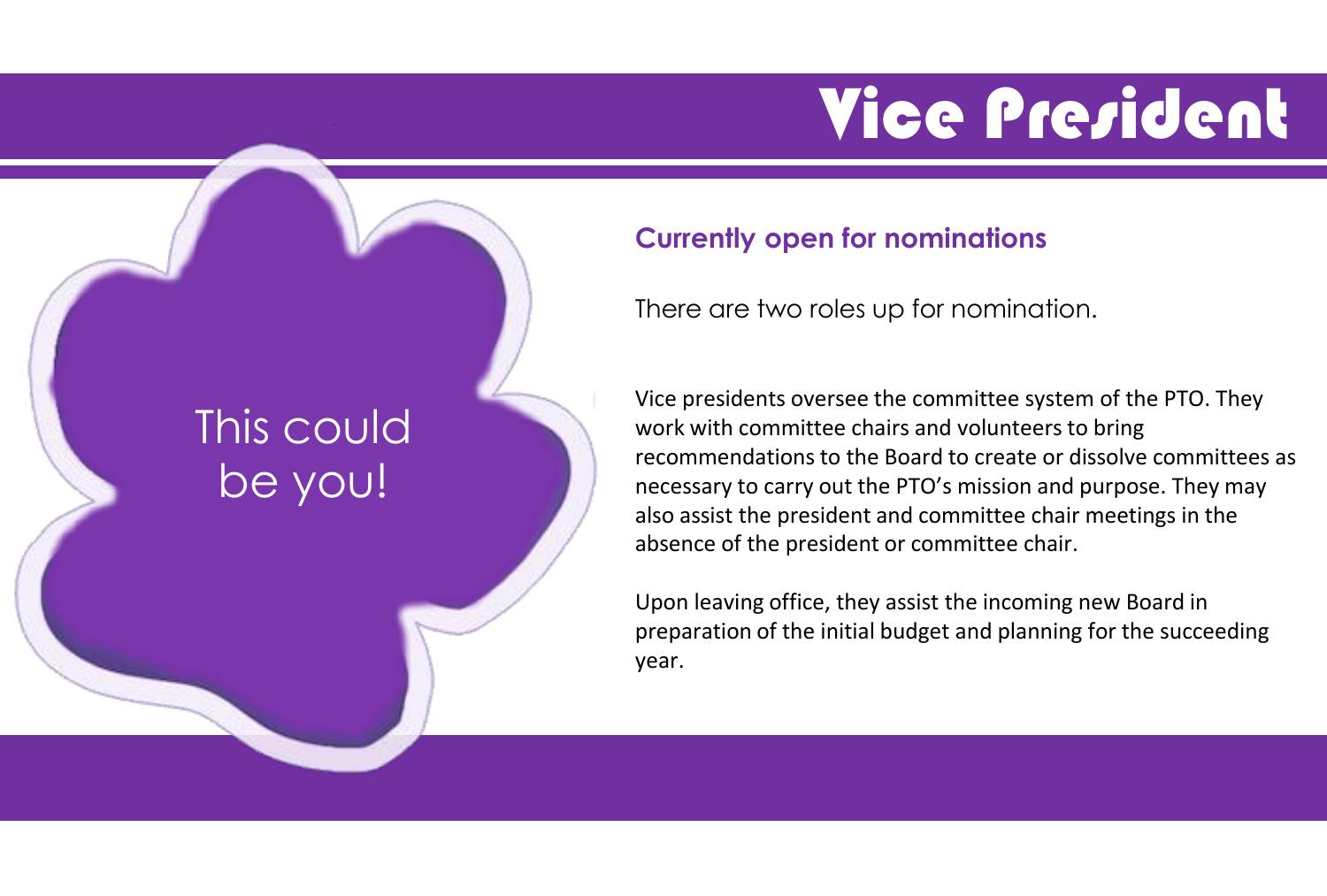### Vice President

#### This could be you!

#### **Currently open for nominations**

There are two roles up for nomination.

Vice presidents oversee the committee system of the PTO. They work with committee chairs and volunteers to bring recommendations to the Board to create or dissolve committees as necessary to carry out the PTO's mission and purpose. They may also assist the president and committee chair meetings in the absence of the president or committee chair.

Upon leaving office, they assist the incoming new Board in preparation of the initial budget and planning for the succeeding year.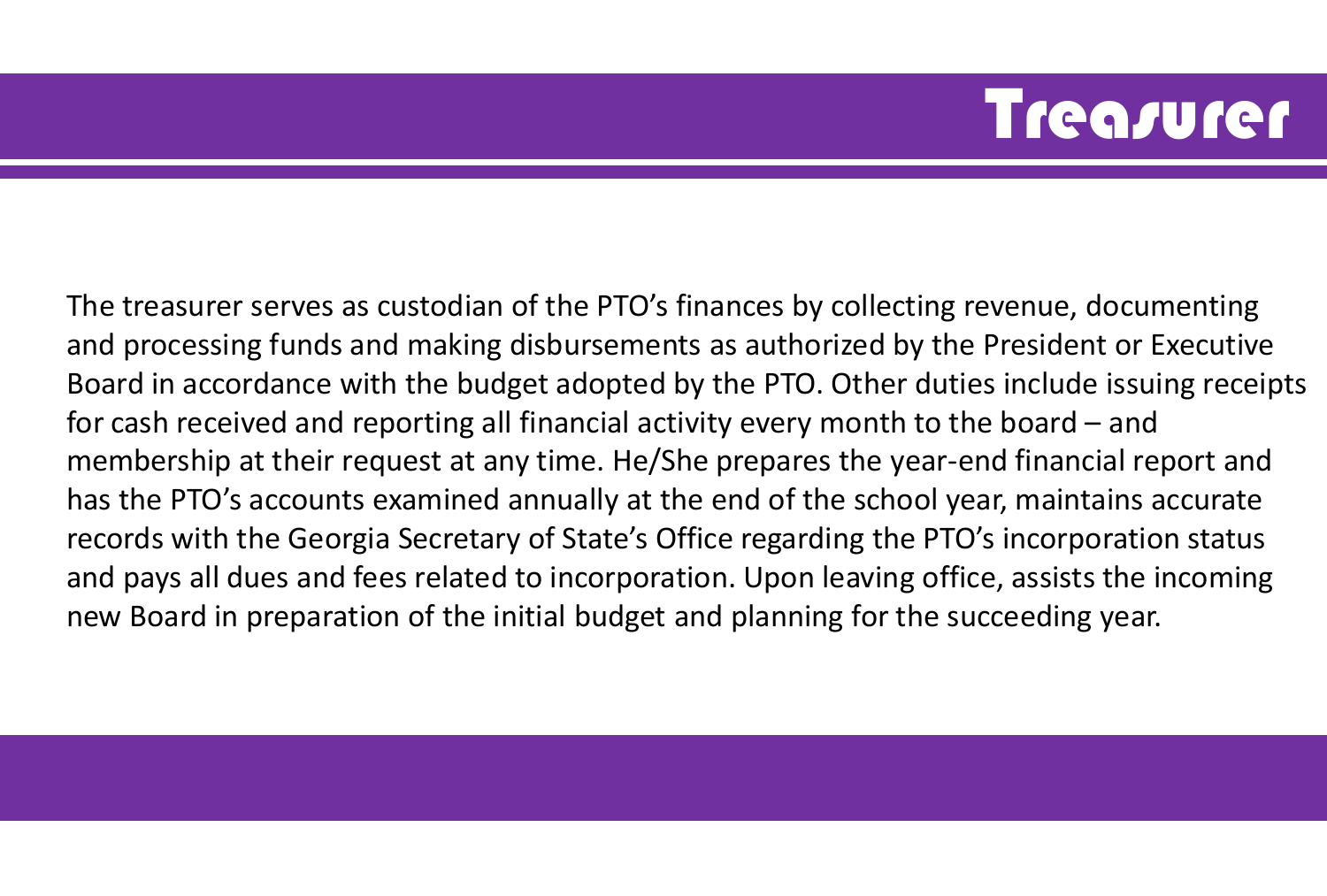#### **Treasurer**

The treasurer serves as custodian of the PTO's finances by collecting revenue, documenting and processing funds and making disbursements as authorized by the President or Executive Board in accordance with the budget adopted by the PTO. Other duties include issuing receipts for cash received and reporting all financial activity every month to the board – and membership at their request at any time. He/She prepares the year-end financial report and has the PTO's accounts examined annually at the end of the school year, maintains accurate records with the Georgia Secretary of State's Office regarding the PTO's incorporation status and pays all dues and fees related to incorporation. Upon leaving office, assists the incoming new Board in preparation of the initial budget and planning for the succeeding year.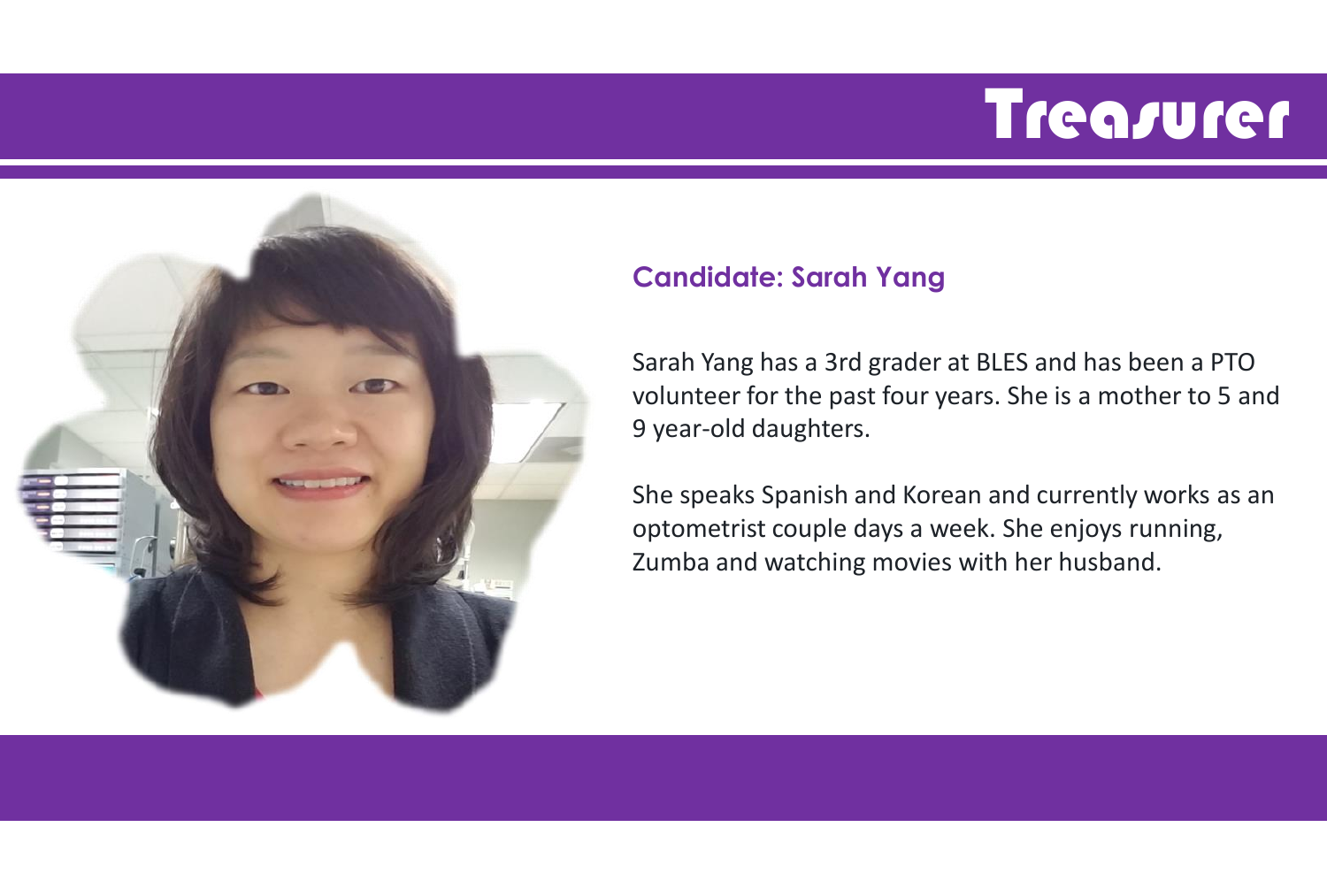#### **Treasurer**



#### **Candidate: Sarah Yang**

Sarah Yang has a 3rd grader at BLES and has been a PTO volunteer for the past four years. She is a mother to 5 and 9 year-old daughters.

She speaks Spanish and Korean and currently works as an optometrist couple days a week. She enjoys running, Zumba and watching movies with her husband.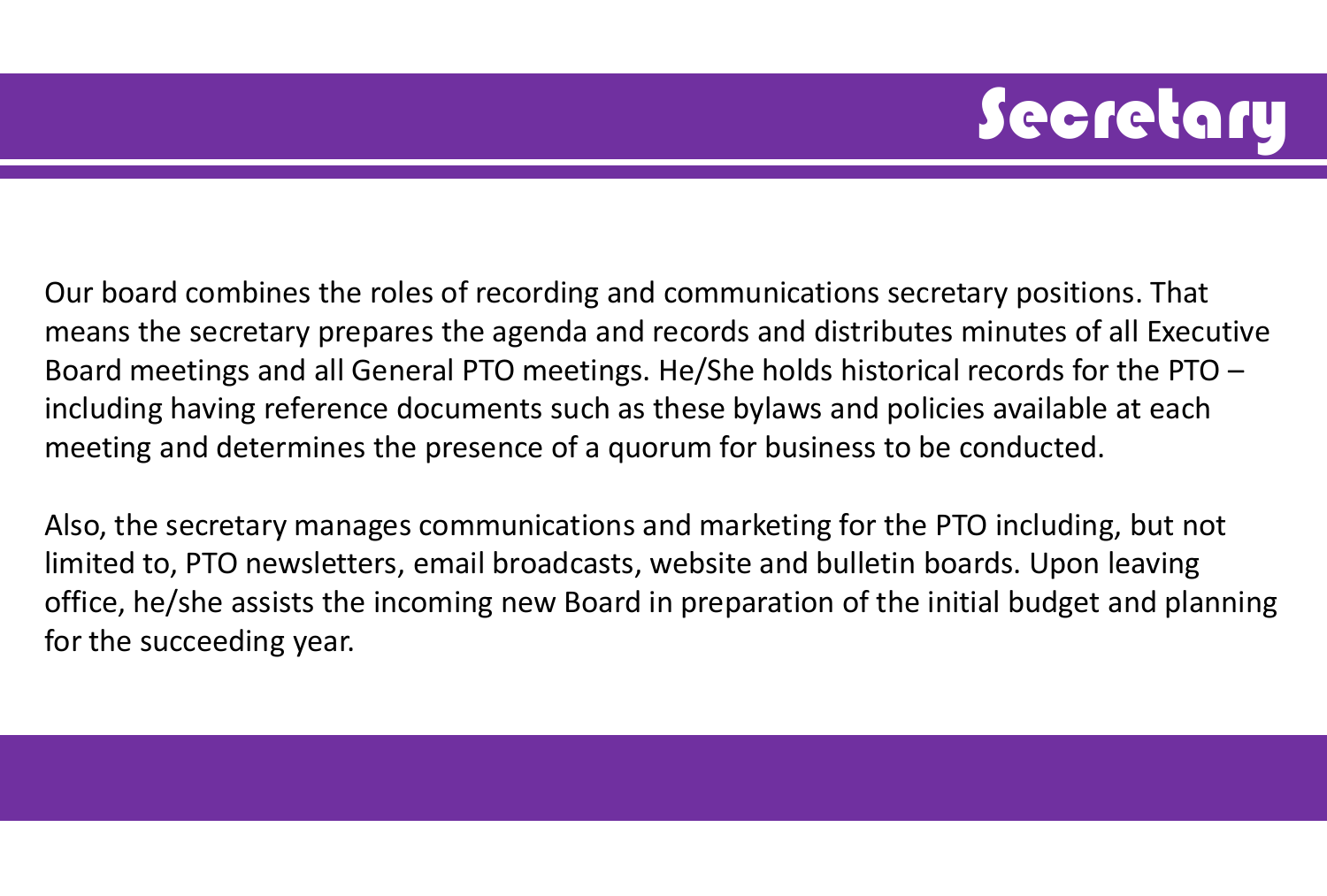# **Secretary**

Our board combines the roles of recording and communications secretary positions. That means the secretary prepares the agenda and records and distributes minutes of all Executive Board meetings and all General PTO meetings. He/She holds historical records for the PTO – including having reference documents such as these bylaws and policies available at each meeting and determines the presence of a quorum for business to be conducted.

Also, the secretary manages communications and marketing for the PTO including, but not limited to, PTO newsletters, email broadcasts, website and bulletin boards. Upon leaving office, he/she assists the incoming new Board in preparation of the initial budget and planning for the succeeding year.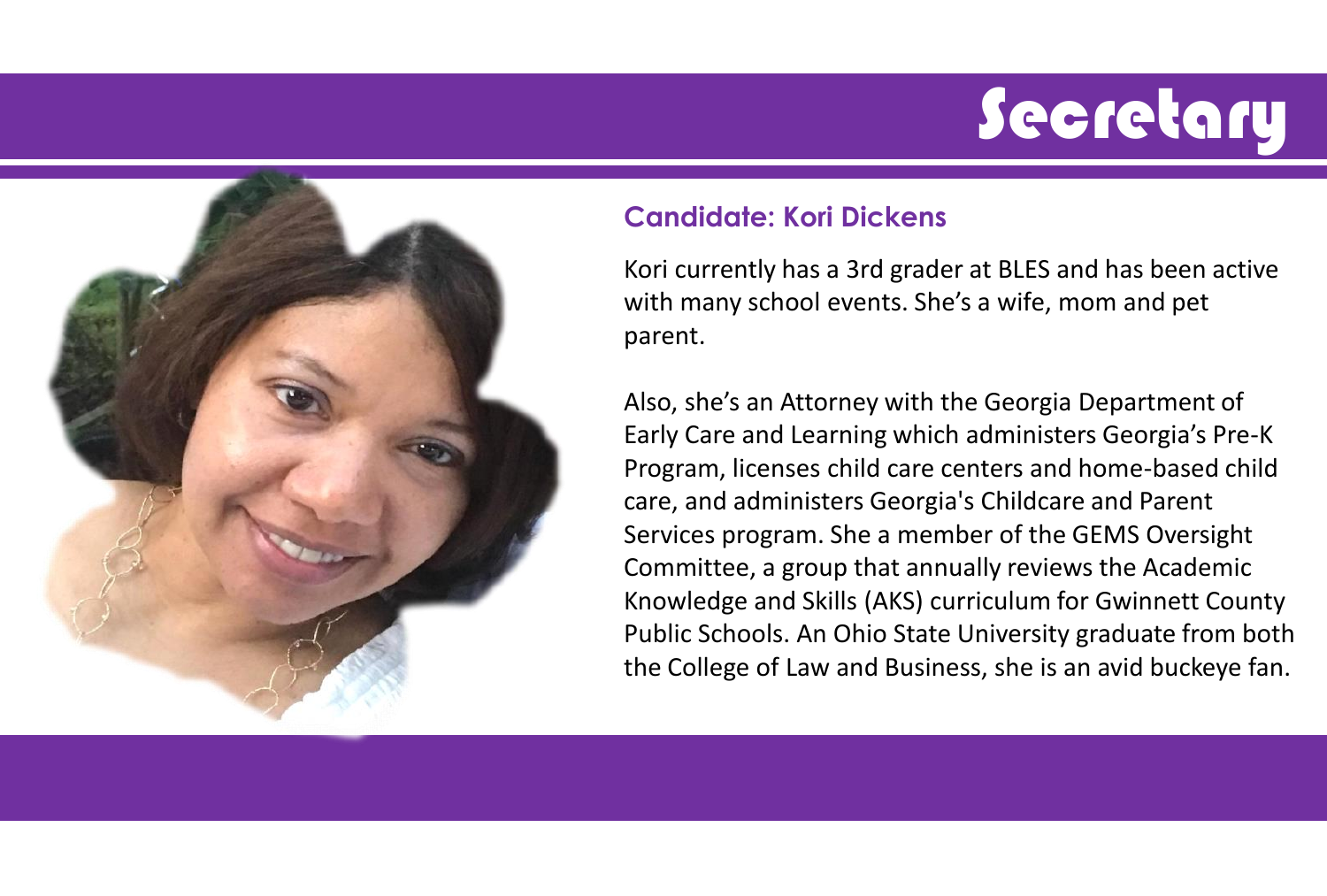# **Secretary**



#### **Candidate: Kori Dickens**

Kori currently has a 3rd grader at BLES and has been active with many school events. She's a wife, mom and pet parent.

Also, she's an Attorney with the Georgia Department of Early Care and Learning which administers Georgia's Pre-K Program, licenses child care centers and home-based child care, and administers Georgia's Childcare and Parent Services program. She a member of the GEMS Oversight Committee, a group that annually reviews the Academic Knowledge and Skills (AKS) curriculum for Gwinnett County Public Schools. An Ohio State University graduate from both the College of Law and Business, she is an avid buckeye fan.